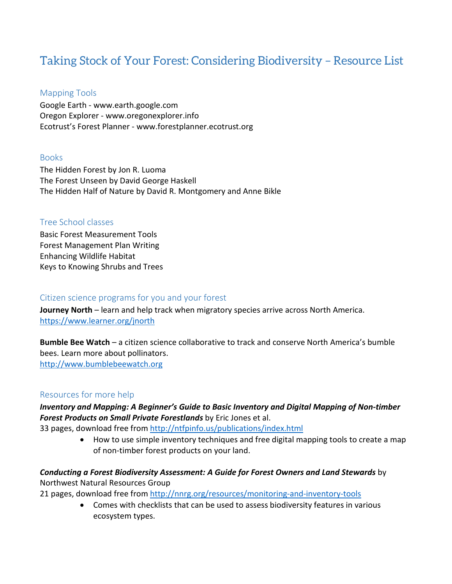# Taking Stock of Your Forest: Considering Biodiversity – Resource List

## Mapping Tools

Google Earth - www.earth.google.com Oregon Explorer - www.oregonexplorer.info Ecotrust's Forest Planner - www.forestplanner.ecotrust.org

### Books

The Hidden Forest by Jon R. Luoma The Forest Unseen by David George Haskell The Hidden Half of Nature by David R. Montgomery and Anne Bikle

### Tree School classes

Basic Forest Measurement Tools Forest Management Plan Writing Enhancing Wildlife Habitat Keys to Knowing Shrubs and Trees

### Citizen science programs for you and your forest

**Journey North** – learn and help track when migratory species arrive across North America. <https://www.learner.org/jnorth>

**Bumble Bee Watch** – a citizen science collaborative to track and conserve North America's bumble bees. Learn more about pollinators. [http://www.bumblebeewatch.org](http://www.bumblebeewatch.org/)

# Resources for more help

*Inventory and Mapping: A Beginner's Guide to Basic Inventory and Digital Mapping of Non-timber Forest Products on Small Private Forestlands* by Eric Jones et al.

33 pages, download free from<http://ntfpinfo.us/publications/index.html>

• How to use simple inventory techniques and free digital mapping tools to create a map of non-timber forest products on your land.

# *Conducting a Forest Biodiversity Assessment: A Guide for Forest Owners and Land Stewards* by

Northwest Natural Resources Group

21 pages, download free from<http://nnrg.org/resources/monitoring-and-inventory-tools>

• Comes with checklists that can be used to assess biodiversity features in various ecosystem types.